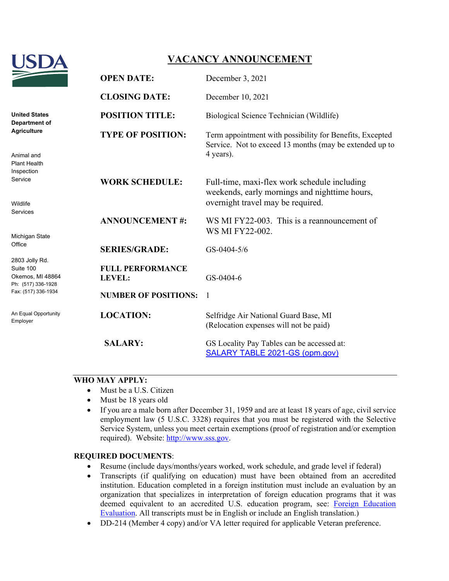

# **VACANCY ANNOUNCEMENT**

|                                                             | <b>OPEN DATE:</b>           | December 3, 2021                                                                                                    |
|-------------------------------------------------------------|-----------------------------|---------------------------------------------------------------------------------------------------------------------|
|                                                             | <b>CLOSING DATE:</b>        | December 10, 2021                                                                                                   |
| <b>United States</b><br>Department of<br><b>Agriculture</b> | <b>POSITION TITLE:</b>      | Biological Science Technician (Wildlife)                                                                            |
|                                                             | <b>TYPE OF POSITION:</b>    | Term appointment with possibility for Benefits, Excepted<br>Service. Not to exceed 13 months (may be extended up to |
| Animal and<br>Plant Health<br>Inspection                    |                             | 4 years).                                                                                                           |
| Service                                                     | <b>WORK SCHEDULE:</b>       | Full-time, maxi-flex work schedule including<br>weekends, early mornings and nighttime hours,                       |
| Wildlife                                                    |                             | overnight travel may be required.                                                                                   |
| Services                                                    | <b>ANNOUNCEMENT#:</b>       | WS MI FY22-003. This is a reannouncement of<br>WS MI FY22-002.                                                      |
| Michigan State                                              |                             |                                                                                                                     |
| Office                                                      | <b>SERIES/GRADE:</b>        | GS-0404-5/6                                                                                                         |
| 2803 Jolly Rd.<br>Suite 100<br>Okemos, MI 48864             | <b>FULL PERFORMANCE</b>     |                                                                                                                     |
| Ph: (517) 336-1928                                          | <b>LEVEL:</b>               | GS-0404-6                                                                                                           |
| Fax: (517) 336-1934                                         | <b>NUMBER OF POSITIONS:</b> | 1                                                                                                                   |
| An Equal Opportunity<br>Employer                            | <b>LOCATION:</b>            | Selfridge Air National Guard Base, MI<br>(Relocation expenses will not be paid)                                     |
|                                                             | <b>SALARY:</b>              | GS Locality Pay Tables can be accessed at:<br><b>SALARY TABLE 2021-GS (opm.gov)</b>                                 |

# **WHO MAY APPLY:**

- Must be a U.S. Citizen
- Must be 18 years old
- If you are a male born after December 31, 1959 and are at least 18 years of age, civil service employment law (5 U.S.C. 3328) requires that you must be registered with the Selective Service System, unless you meet certain exemptions (proof of registration and/or exemption required). Website: http://www.sss.gov.

# **REQUIRED DOCUMENTS**:

- Resume (include days/months/years worked, work schedule, and grade level if federal)
- Transcripts (if qualifying on education) must have been obtained from an accredited institution. Education completed in a foreign institution must include an evaluation by an organization that specializes in interpretation of foreign education programs that it was deemed equivalent to an accredited U.S. education program, see: Foreign Education Evaluation. All transcripts must be in English or include an English translation.)
- DD-214 (Member 4 copy) and/or VA letter required for applicable Veteran preference.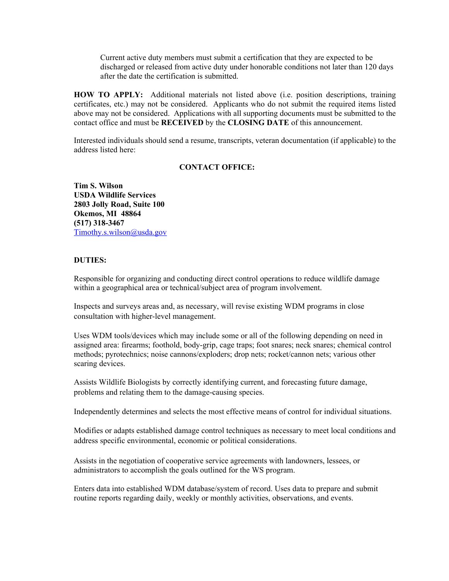Current active duty members must submit a certification that they are expected to be discharged or released from active duty under honorable conditions not later than 120 days after the date the certification is submitted.

**HOW TO APPLY:** Additional materials not listed above (i.e. position descriptions, training certificates, etc.) may not be considered. Applicants who do not submit the required items listed above may not be considered. Applications with all supporting documents must be submitted to the contact office and must be **RECEIVED** by the **CLOSING DATE** of this announcement.

Interested individuals should send a resume, transcripts, veteran documentation (if applicable) to the address listed here:

# **CONTACT OFFICE:**

**Tim S. Wilson USDA Wildlife Services 2803 Jolly Road, Suite 100 Okemos, MI 48864 (517) 318-3467**  Timothy.s.wilson@usda.gov

#### **DUTIES:**

Responsible for organizing and conducting direct control operations to reduce wildlife damage within a geographical area or technical/subject area of program involvement.

Inspects and surveys areas and, as necessary, will revise existing WDM programs in close consultation with higher-level management.

Uses WDM tools/devices which may include some or all of the following depending on need in assigned area: firearms; foothold, body-grip, cage traps; foot snares; neck snares; chemical control methods; pyrotechnics; noise cannons/exploders; drop nets; rocket/cannon nets; various other scaring devices.

Assists Wildlife Biologists by correctly identifying current, and forecasting future damage, problems and relating them to the damage-causing species.

Independently determines and selects the most effective means of control for individual situations.

Modifies or adapts established damage control techniques as necessary to meet local conditions and address specific environmental, economic or political considerations.

Assists in the negotiation of cooperative service agreements with landowners, lessees, or administrators to accomplish the goals outlined for the WS program.

Enters data into established WDM database/system of record. Uses data to prepare and submit routine reports regarding daily, weekly or monthly activities, observations, and events.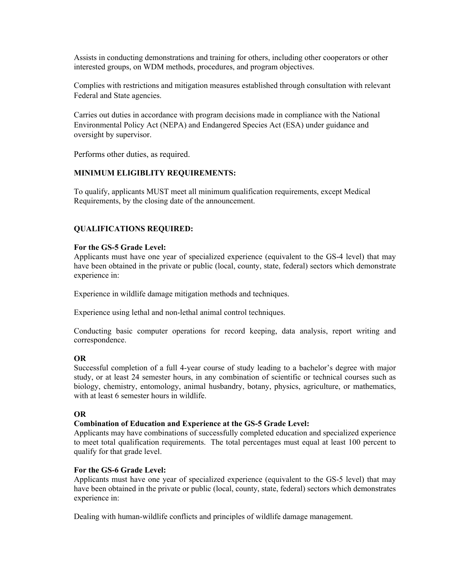Assists in conducting demonstrations and training for others, including other cooperators or other interested groups, on WDM methods, procedures, and program objectives.

Complies with restrictions and mitigation measures established through consultation with relevant Federal and State agencies.

Carries out duties in accordance with program decisions made in compliance with the National Environmental Policy Act (NEPA) and Endangered Species Act (ESA) under guidance and oversight by supervisor.

Performs other duties, as required.

## **MINIMUM ELIGIBLITY REQUIREMENTS:**

To qualify, applicants MUST meet all minimum qualification requirements, except Medical Requirements, by the closing date of the announcement.

## **QUALIFICATIONS REQUIRED:**

#### **For the GS-5 Grade Level:**

Applicants must have one year of specialized experience (equivalent to the GS-4 level) that may have been obtained in the private or public (local, county, state, federal) sectors which demonstrate experience in:

Experience in wildlife damage mitigation methods and techniques.

Experience using lethal and non-lethal animal control techniques.

Conducting basic computer operations for record keeping, data analysis, report writing and correspondence.

# **OR**

Successful completion of a full 4-year course of study leading to a bachelor's degree with major study, or at least 24 semester hours, in any combination of scientific or technical courses such as biology, chemistry, entomology, animal husbandry, botany, physics, agriculture, or mathematics, with at least 6 semester hours in wildlife.

#### **OR**

#### **Combination of Education and Experience at the GS-5 Grade Level:**

Applicants may have combinations of successfully completed education and specialized experience to meet total qualification requirements. The total percentages must equal at least 100 percent to qualify for that grade level.

## **For the GS-6 Grade Level:**

Applicants must have one year of specialized experience (equivalent to the GS-5 level) that may have been obtained in the private or public (local, county, state, federal) sectors which demonstrates experience in:

Dealing with human-wildlife conflicts and principles of wildlife damage management.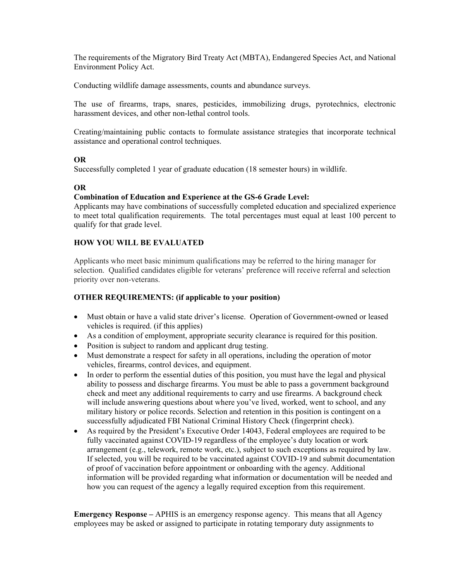The requirements of the Migratory Bird Treaty Act (MBTA), Endangered Species Act, and National Environment Policy Act.

Conducting wildlife damage assessments, counts and abundance surveys.

The use of firearms, traps, snares, pesticides, immobilizing drugs, pyrotechnics, electronic harassment devices, and other non-lethal control tools.

Creating/maintaining public contacts to formulate assistance strategies that incorporate technical assistance and operational control techniques.

## **OR**

Successfully completed 1 year of graduate education (18 semester hours) in wildlife.

# **OR**

## **Combination of Education and Experience at the GS-6 Grade Level:**

Applicants may have combinations of successfully completed education and specialized experience to meet total qualification requirements. The total percentages must equal at least 100 percent to qualify for that grade level.

# **HOW YOU WILL BE EVALUATED**

Applicants who meet basic minimum qualifications may be referred to the hiring manager for selection. Qualified candidates eligible for veterans' preference will receive referral and selection priority over non-veterans.

#### **OTHER REQUIREMENTS: (if applicable to your position)**

- Must obtain or have a valid state driver's license. Operation of Government-owned or leased vehicles is required. (if this applies)
- As a condition of employment, appropriate security clearance is required for this position.
- Position is subject to random and applicant drug testing.
- Must demonstrate a respect for safety in all operations, including the operation of motor vehicles, firearms, control devices, and equipment.
- In order to perform the essential duties of this position, you must have the legal and physical ability to possess and discharge firearms. You must be able to pass a government background check and meet any additional requirements to carry and use firearms. A background check will include answering questions about where you've lived, worked, went to school, and any military history or police records. Selection and retention in this position is contingent on a successfully adjudicated FBI National Criminal History Check (fingerprint check).
- As required by the President's Executive Order 14043, Federal employees are required to be fully vaccinated against COVID-19 regardless of the employee's duty location or work arrangement (e.g., telework, remote work, etc.), subject to such exceptions as required by law. If selected, you will be required to be vaccinated against COVID-19 and submit documentation of proof of vaccination before appointment or onboarding with the agency. Additional information will be provided regarding what information or documentation will be needed and how you can request of the agency a legally required exception from this requirement.

**Emergency Response –** APHIS is an emergency response agency. This means that all Agency employees may be asked or assigned to participate in rotating temporary duty assignments to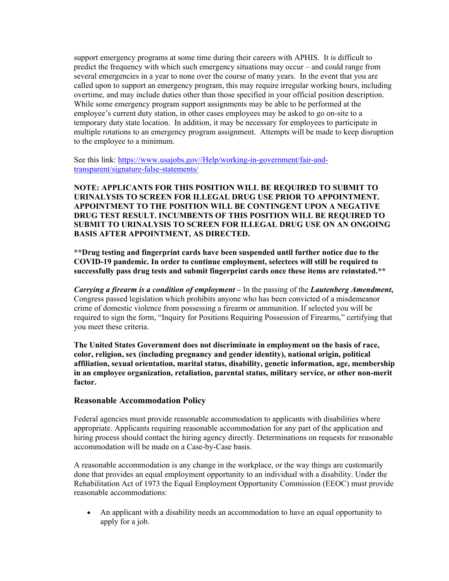support emergency programs at some time during their careers with APHIS. It is difficult to predict the frequency with which such emergency situations may occur – and could range from several emergencies in a year to none over the course of many years. In the event that you are called upon to support an emergency program, this may require irregular working hours, including overtime, and may include duties other than those specified in your official position description. While some emergency program support assignments may be able to be performed at the employee's current duty station, in other cases employees may be asked to go on-site to a temporary duty state location. In addition, it may be necessary for employees to participate in multiple rotations to an emergency program assignment. Attempts will be made to keep disruption to the employee to a minimum.

See this link: https://www.usajobs.gov//Help/working-in-government/fair-andtransparent/signature-false-statements/

**NOTE: APPLICANTS FOR THIS POSITION WILL BE REQUIRED TO SUBMIT TO URINALYSIS TO SCREEN FOR ILLEGAL DRUG USE PRIOR TO APPOINTMENT. APPOINTMENT TO THE POSITION WILL BE CONTINGENT UPON A NEGATIVE DRUG TEST RESULT. INCUMBENTS OF THIS POSITION WILL BE REQUIRED TO SUBMIT TO URINALYSIS TO SCREEN FOR ILLEGAL DRUG USE ON AN ONGOING BASIS AFTER APPOINTMENT, AS DIRECTED.** 

**\*\*Drug testing and fingerprint cards have been suspended until further notice due to the COVID-19 pandemic. In order to continue employment, selectees will still be required to successfully pass drug tests and submit fingerprint cards once these items are reinstated.\*\*** 

*Carrying a firearm is a condition of employment* **–** In the passing of the *Lautenberg Amendment***,**  Congress passed legislation which prohibits anyone who has been convicted of a misdemeanor crime of domestic violence from possessing a firearm or ammunition. If selected you will be required to sign the form, "Inquiry for Positions Requiring Possession of Firearms," certifying that you meet these criteria.

**The United States Government does not discriminate in employment on the basis of race, color, religion, sex (including pregnancy and gender identity), national origin, political affiliation, sexual orientation, marital status, disability, genetic information, age, membership in an employee organization, retaliation, parental status, military service, or other non-merit factor.** 

# **Reasonable Accommodation Policy**

Federal agencies must provide reasonable accommodation to applicants with disabilities where appropriate. Applicants requiring reasonable accommodation for any part of the application and hiring process should contact the hiring agency directly. Determinations on requests for reasonable accommodation will be made on a Case-by-Case basis.

A reasonable accommodation is any change in the workplace, or the way things are customarily done that provides an equal employment opportunity to an individual with a disability. Under the Rehabilitation Act of 1973 the Equal Employment Opportunity Commission (EEOC) must provide reasonable accommodations:

 An applicant with a disability needs an accommodation to have an equal opportunity to apply for a job.